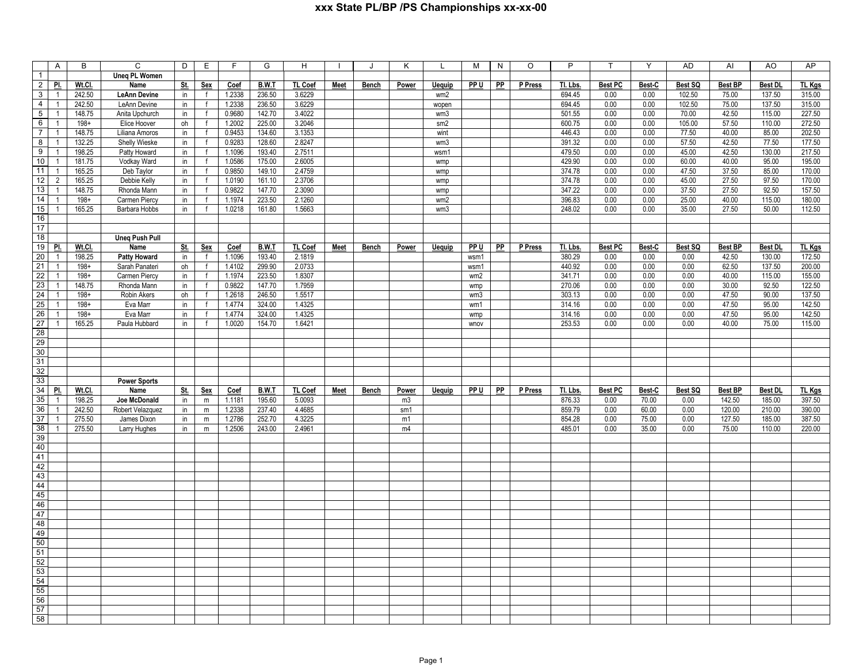|                 | $\overline{A}$ | B       | $\overline{c}$        | D               | E               | F.             | G            | H       |             | J            | Κ     | L               | М    | N         | $\circ$ | P        | $\mathsf{T}$   | Y      | AD      | AI             | AO             | AP            |
|-----------------|----------------|---------|-----------------------|-----------------|-----------------|----------------|--------------|---------|-------------|--------------|-------|-----------------|------|-----------|---------|----------|----------------|--------|---------|----------------|----------------|---------------|
| $\overline{1}$  |                |         | <b>Uneq PL Women</b>  |                 |                 |                |              |         |             |              |       |                 |      |           |         |          |                |        |         |                |                |               |
| $\overline{2}$  | PI.            | Wt.Cl.  | Name                  | <u>St.</u>      | Sex             | Coef           | B.W.T        | TL Coef | Meet        | Bench        | Power | <b>Uequip</b>   | PP U | PP        | P Press | TI. Lbs. | <b>Best PC</b> | Best-C | Best SQ | <b>Best BP</b> | Best DL        | TL Kgs        |
| 3               | $\mathbf{1}$   | 242.50  | <b>LeAnn Devine</b>   | in              | f               | 1.2338         | 236.50       | 3.6229  |             |              |       | wm2             |      |           |         | 694.45   | 0.00           | 0.00   | 102.50  | 75.00          | 137.50         | 315.00        |
| $\overline{4}$  | $\mathbf{1}$   | 242.50  | LeAnn Devine          | in              | $\mathsf{f}$    | 1.2338         | 236.50       | 3.6229  |             |              |       | wopen           |      |           |         | 694.45   | 0.00           | 0.00   | 102.50  | 75.00          | 137.50         | 315.00        |
| $\overline{5}$  | $\mathbf{1}$   | 148.75  | Anita Upchurch        | in              | $\mathsf{f}$    | 0.9680         | 142.70       | 3.4022  |             |              |       | wm <sub>3</sub> |      |           |         | 501.55   | 0.00           | 0.00   | 70.00   | 42.50          | 115.00         | 227.50        |
| $6\overline{6}$ | $\mathbf{1}$   | $198 +$ | Elice Hoover          | oh              | $\mathsf{f}$    | 1.2002         | 225.00       | 3.2046  |             |              |       | sm2             |      |           |         | 600.75   | 0.00           | 0.00   | 105.00  | 57.50          | 110.00         | 272.50        |
| $\overline{7}$  | $\mathbf{1}$   | 148.75  | Liliana Amoros        | in              | $\mathsf{f}$    | 0.9453         | 134.60       | 3.1353  |             |              |       | wint            |      |           |         | 446.43   | 0.00           | 0.00   | 77.50   | 40.00          | 85.00          | 202.50        |
| $\infty$        | $\mathbf{1}$   | 132.25  | Shelly Wieske         | in              | f               | 0.9283         | 128.60       | 2.8247  |             |              |       | wm3             |      |           |         | 391.32   | 0.00           | 0.00   | 57.50   | 42.50          | 77.50          | 177.50        |
| $\overline{9}$  | $\mathbf{1}$   | 198.25  | Patty Howard          | in              | $\mathsf{f}$    | 1.1096         | 193.40       | 2.7511  |             |              |       | wsm1            |      |           |         | 479.50   | 0.00           | 0.00   | 45.00   | 42.50          | 130.00         | 217.50        |
| 10              | $\mathbf{1}$   | 181.75  | Vodkay Ward           | in              | $\mathsf{f}$    | 1.0586         | 175.00       | 2.6005  |             |              |       | wmp             |      |           |         | 429.90   | 0.00           | 0.00   | 60.00   | 40.00          | 95.00          | 195.00        |
| $\overline{11}$ | $\mathbf{1}$   | 165.25  | Deb Taylor            | in              | $\mathsf{f}$    | 0.9850         | 149.10       | 2.4759  |             |              |       | wmp             |      |           |         | 374.78   | 0.00           | 0.00   | 47.50   | 37.50          | 85.00          | 170.00        |
| $\overline{12}$ | $\overline{2}$ | 165.25  | Debbie Kelly          | in              | f               | 1.0190         | 161.10       | 2.3706  |             |              |       | wmp             |      |           |         | 374.78   | 0.00           | 0.00   | 45.00   | 27.50          | 97.50          | 170.00        |
| 13              | $\mathbf{1}$   | 148.75  | Rhonda Mann           | in              | $\mathsf{f}$    | 0.9822         | 147.70       | 2.3090  |             |              |       | wmp             |      |           |         | 347.22   | 0.00           | 0.00   | 37.50   | 27.50          | 92.50          | 157.50        |
| 14              | $\mathbf{1}$   | $198+$  | Carmen Piercy         | in              | $\mathsf{f}$    | 1.1974         | 223.50       | 2.1260  |             |              |       | wm2             |      |           |         | 396.83   | 0.00           | 0.00   | 25.00   | 40.00          | 115.00         | 180.00        |
| 15              | $\mathbf{1}$   | 165.25  | Barbara Hobbs         | in              | f               | 1.0218         | 161.80       | 1.5663  |             |              |       | wm3             |      |           |         | 248.02   | 0.00           | 0.00   | 35.00   | 27.50          | 50.00          | 112.50        |
| 16              |                |         |                       |                 |                 |                |              |         |             |              |       |                 |      |           |         |          |                |        |         |                |                |               |
| $\overline{17}$ |                |         |                       |                 |                 |                |              |         |             |              |       |                 |      |           |         |          |                |        |         |                |                |               |
| 18              |                |         | <b>Uneq Push Pull</b> |                 |                 |                |              |         |             |              |       |                 |      |           |         |          |                |        |         |                |                |               |
| 19              | PI.            | Wt.Cl.  | Name                  | St.             | Sex             | Coef           | B.W.T        | TL Coef | Meet        | Bench        | Power | <b>Uequip</b>   | PP U | <b>PP</b> | P Press | Tl. Lbs. | <b>Best PC</b> | Best-C | Best SQ | <b>Best BP</b> | <b>Best DL</b> | TL Kgs        |
| 20              | $\mathbf{1}$   | 198.25  | Patty Howard          | in              | $\mathsf{f}$    | 1.1096         | 193.40       | 2.1819  |             |              |       |                 | wsm1 |           |         | 380.29   | 0.00           | 0.00   | 0.00    | 42.50          | 130.00         | 172.50        |
| 21              | $\mathbf{1}$   | $198+$  | Sarah Panateri        | oh              | $\mathsf{f}$    | 1.4102         | 299.90       | 2.0733  |             |              |       |                 | wsm1 |           |         | 440.92   | 0.00           | 0.00   | 0.00    | 62.50          | 137.50         | 200.00        |
| 22              | $\mathbf{1}$   | $198+$  | Carmen Piercy         | in              | $\mathsf{f}$    | 1.1974         | 223.50       | 1.8307  |             |              |       |                 | wm2  |           |         | 341.71   | 0.00           | 0.00   | 0.00    | 40.00          | 115.00         | 155.00        |
| 23              | $\mathbf{1}$   | 148.75  | Rhonda Mann           | in              | $\mathsf f$     | 0.9822         | 147.70       | 1.7959  |             |              |       |                 | wmp  |           |         | 270.06   | 0.00           | 0.00   | 0.00    | 30.00          | 92.50          | 122.50        |
| $\overline{24}$ | $\mathbf{1}$   | $198 +$ | Robin Akers           | oh              | $\mathsf{f}$    | 1.2618         | 246.50       | 1.5517  |             |              |       |                 | wm3  |           |         | 303.13   | 0.00           | 0.00   | 0.00    | 47.50          | 90.00          | 137.50        |
| 25              | $\mathbf{1}$   | $198 +$ | Eva Marr              | in              | $\mathsf{f}$    | 1.4774         | 324.00       | 1.4325  |             |              |       |                 | wm1  |           |         | 314.16   | 0.00           | 0.00   | 0.00    | 47.50          | 95.00          | 142.50        |
| $\overline{26}$ | $\overline{1}$ | $198+$  | Eva Marr              | in              | f               | 1.4774         | 324.00       | 1.4325  |             |              |       |                 | wmp  |           |         | 314.16   | 0.00           | 0.00   | 0.00    | 47.50          | 95.00          | 142.50        |
| 27              | $\mathbf{1}$   | 165.25  | Paula Hubbard         | in              | $\mathsf{f}$    | 1.0020         | 154.70       | 1.6421  |             |              |       |                 | wnov |           |         | 253.53   | 0.00           | 0.00   | 0.00    | 40.00          | 75.00          | 115.00        |
| $\overline{28}$ |                |         |                       |                 |                 |                |              |         |             |              |       |                 |      |           |         |          |                |        |         |                |                |               |
| 29              |                |         |                       |                 |                 |                |              |         |             |              |       |                 |      |           |         |          |                |        |         |                |                |               |
| 30              |                |         |                       |                 |                 |                |              |         |             |              |       |                 |      |           |         |          |                |        |         |                |                |               |
| 31              |                |         |                       |                 |                 |                |              |         |             |              |       |                 |      |           |         |          |                |        |         |                |                |               |
| 32              |                |         |                       |                 |                 |                |              |         |             |              |       |                 |      |           |         |          |                |        |         |                |                |               |
| 33              |                |         | <b>Power Sports</b>   |                 |                 |                |              |         |             |              |       |                 |      |           |         |          |                |        |         |                |                |               |
| 34              | PI.            | Wt.Cl.  | Name                  |                 |                 |                | <b>B.W.T</b> | TL Coef | <b>Meet</b> | <b>Bench</b> | Power | <b>Uequip</b>   | PP U | PP        | P Press | Tl. Lbs. | <b>Best PC</b> | Best-C | Best SQ | <b>Best BP</b> | <b>Best DL</b> | <b>TL Kgs</b> |
| 35              | $\mathbf{1}$   | 198.25  | Joe McDonald          | <u>St</u><br>in | <u>Sex</u><br>m | Coef<br>1.1181 | 195.60       | 5.0093  |             |              | m3    |                 |      |           |         | 876.33   | 0.00           | 70.00  | 0.00    | 142.50         | 185.00         | 397.50        |
| 36              | $\mathbf{1}$   | 242.50  | Robert Velazquez      | in              | ${\sf m}$       | 1.2338         | 237.40       | 4.4685  |             |              | sm1   |                 |      |           |         | 859.79   | 0.00           | 60.00  | 0.00    | 120.00         | 210.00         | 390.00        |
| 37              | $\mathbf{1}$   | 275.50  | James Dixon           | in              | m               | 1.2786         | 252.70       | 4.3225  |             |              | m1    |                 |      |           |         | 854.28   | 0.00           | 75.00  | 0.00    | 127.50         | 185.00         | 387.50        |
| 38              | $\mathbf{1}$   | 275.50  | Larry Hughes          | in              | ${\sf m}$       | 1.2506         | 243.00       | 2.4961  |             |              | m4    |                 |      |           |         | 485.01   | 0.00           | 35.00  | 0.00    | 75.00          | 110.00         | 220.00        |
| 39              |                |         |                       |                 |                 |                |              |         |             |              |       |                 |      |           |         |          |                |        |         |                |                |               |
| 40              |                |         |                       |                 |                 |                |              |         |             |              |       |                 |      |           |         |          |                |        |         |                |                |               |
| 41              |                |         |                       |                 |                 |                |              |         |             |              |       |                 |      |           |         |          |                |        |         |                |                |               |
| 42              |                |         |                       |                 |                 |                |              |         |             |              |       |                 |      |           |         |          |                |        |         |                |                |               |
| 43              |                |         |                       |                 |                 |                |              |         |             |              |       |                 |      |           |         |          |                |        |         |                |                |               |
| 44              |                |         |                       |                 |                 |                |              |         |             |              |       |                 |      |           |         |          |                |        |         |                |                |               |
| 45              |                |         |                       |                 |                 |                |              |         |             |              |       |                 |      |           |         |          |                |        |         |                |                |               |
| 46              |                |         |                       |                 |                 |                |              |         |             |              |       |                 |      |           |         |          |                |        |         |                |                |               |
| 47              |                |         |                       |                 |                 |                |              |         |             |              |       |                 |      |           |         |          |                |        |         |                |                |               |
| 48              |                |         |                       |                 |                 |                |              |         |             |              |       |                 |      |           |         |          |                |        |         |                |                |               |
| 49              |                |         |                       |                 |                 |                |              |         |             |              |       |                 |      |           |         |          |                |        |         |                |                |               |
| 50              |                |         |                       |                 |                 |                |              |         |             |              |       |                 |      |           |         |          |                |        |         |                |                |               |
| 51              |                |         |                       |                 |                 |                |              |         |             |              |       |                 |      |           |         |          |                |        |         |                |                |               |
|                 |                |         |                       |                 |                 |                |              |         |             |              |       |                 |      |           |         |          |                |        |         |                |                |               |
| 52              |                |         |                       |                 |                 |                |              |         |             |              |       |                 |      |           |         |          |                |        |         |                |                |               |
| 53              |                |         |                       |                 |                 |                |              |         |             |              |       |                 |      |           |         |          |                |        |         |                |                |               |
| 54              |                |         |                       |                 |                 |                |              |         |             |              |       |                 |      |           |         |          |                |        |         |                |                |               |
| 55              |                |         |                       |                 |                 |                |              |         |             |              |       |                 |      |           |         |          |                |        |         |                |                |               |
| 56              |                |         |                       |                 |                 |                |              |         |             |              |       |                 |      |           |         |          |                |        |         |                |                |               |
| 57              |                |         |                       |                 |                 |                |              |         |             |              |       |                 |      |           |         |          |                |        |         |                |                |               |
| 58              |                |         |                       |                 |                 |                |              |         |             |              |       |                 |      |           |         |          |                |        |         |                |                |               |